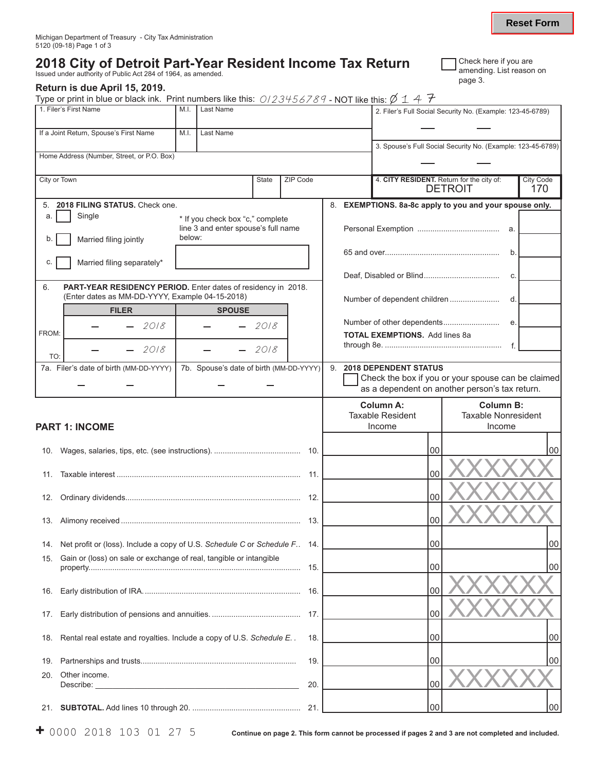## **2018 City of Detroit Part-Year Resident Income Tax Return** Issued under authority of Public Act 284 of 1964, as amended.

## **Return is due April 15, 2019.**

Type or print in blue or black ink. Print numbers like this:  $0/23456789$  - NOT like this:  $\emptyset$  1 4  $\mathcal{F}$ 

| If a Joint Return, Spouse's First Name<br>Last Name<br>M.I.<br>3. Spouse's Full Social Security No. (Example: 123-45-6789)<br>Home Address (Number, Street, or P.O. Box)<br>City or Town<br>ZIP Code<br>4. CITY RESIDENT. Return for the city of:<br><b>City Code</b><br>State<br><b>DETROIT</b><br>170<br>5. 2018 FILING STATUS, Check one.<br>8. EXEMPTIONS. 8a-8c apply to you and your spouse only.<br>Single<br>a.<br>* If you check box "c," complete<br>line 3 and enter spouse's full name<br>below:<br>Married filing jointly<br>b.<br>b.<br>Married filing separately*<br>С.<br>C.<br>6.<br>PART-YEAR RESIDENCY PERIOD. Enter dates of residency in 2018.<br>(Enter dates as MM-DD-YYYY, Example 04-15-2018)<br>Number of dependent children<br>d.<br><b>FILER</b><br><b>SPOUSE</b><br>Number of other dependents<br>e.<br>$-2018$<br>$-2018$<br>FROM:<br><b>TOTAL EXEMPTIONS.</b> Add lines 8a<br>$-f$<br>2018<br>2018<br>TO:<br>7b. Spouse's date of birth (MM-DD-YYYY)<br>9. 2018 DEPENDENT STATUS<br>7a. Filer's date of birth (MM-DD-YYYY) |
|-----------------------------------------------------------------------------------------------------------------------------------------------------------------------------------------------------------------------------------------------------------------------------------------------------------------------------------------------------------------------------------------------------------------------------------------------------------------------------------------------------------------------------------------------------------------------------------------------------------------------------------------------------------------------------------------------------------------------------------------------------------------------------------------------------------------------------------------------------------------------------------------------------------------------------------------------------------------------------------------------------------------------------------------------------------|
|                                                                                                                                                                                                                                                                                                                                                                                                                                                                                                                                                                                                                                                                                                                                                                                                                                                                                                                                                                                                                                                           |
|                                                                                                                                                                                                                                                                                                                                                                                                                                                                                                                                                                                                                                                                                                                                                                                                                                                                                                                                                                                                                                                           |
|                                                                                                                                                                                                                                                                                                                                                                                                                                                                                                                                                                                                                                                                                                                                                                                                                                                                                                                                                                                                                                                           |
|                                                                                                                                                                                                                                                                                                                                                                                                                                                                                                                                                                                                                                                                                                                                                                                                                                                                                                                                                                                                                                                           |
|                                                                                                                                                                                                                                                                                                                                                                                                                                                                                                                                                                                                                                                                                                                                                                                                                                                                                                                                                                                                                                                           |
|                                                                                                                                                                                                                                                                                                                                                                                                                                                                                                                                                                                                                                                                                                                                                                                                                                                                                                                                                                                                                                                           |
|                                                                                                                                                                                                                                                                                                                                                                                                                                                                                                                                                                                                                                                                                                                                                                                                                                                                                                                                                                                                                                                           |
|                                                                                                                                                                                                                                                                                                                                                                                                                                                                                                                                                                                                                                                                                                                                                                                                                                                                                                                                                                                                                                                           |
|                                                                                                                                                                                                                                                                                                                                                                                                                                                                                                                                                                                                                                                                                                                                                                                                                                                                                                                                                                                                                                                           |
|                                                                                                                                                                                                                                                                                                                                                                                                                                                                                                                                                                                                                                                                                                                                                                                                                                                                                                                                                                                                                                                           |
|                                                                                                                                                                                                                                                                                                                                                                                                                                                                                                                                                                                                                                                                                                                                                                                                                                                                                                                                                                                                                                                           |
|                                                                                                                                                                                                                                                                                                                                                                                                                                                                                                                                                                                                                                                                                                                                                                                                                                                                                                                                                                                                                                                           |
|                                                                                                                                                                                                                                                                                                                                                                                                                                                                                                                                                                                                                                                                                                                                                                                                                                                                                                                                                                                                                                                           |
|                                                                                                                                                                                                                                                                                                                                                                                                                                                                                                                                                                                                                                                                                                                                                                                                                                                                                                                                                                                                                                                           |
|                                                                                                                                                                                                                                                                                                                                                                                                                                                                                                                                                                                                                                                                                                                                                                                                                                                                                                                                                                                                                                                           |
|                                                                                                                                                                                                                                                                                                                                                                                                                                                                                                                                                                                                                                                                                                                                                                                                                                                                                                                                                                                                                                                           |
| Check the box if you or your spouse can be claimed<br>as a dependent on another person's tax return.                                                                                                                                                                                                                                                                                                                                                                                                                                                                                                                                                                                                                                                                                                                                                                                                                                                                                                                                                      |
| <b>Column A:</b><br><b>Column B:</b>                                                                                                                                                                                                                                                                                                                                                                                                                                                                                                                                                                                                                                                                                                                                                                                                                                                                                                                                                                                                                      |
| <b>Taxable Resident</b><br><b>Taxable Nonresident</b>                                                                                                                                                                                                                                                                                                                                                                                                                                                                                                                                                                                                                                                                                                                                                                                                                                                                                                                                                                                                     |
| Income<br>Income<br><b>PART 1: INCOME</b>                                                                                                                                                                                                                                                                                                                                                                                                                                                                                                                                                                                                                                                                                                                                                                                                                                                                                                                                                                                                                 |
| 00<br> 00                                                                                                                                                                                                                                                                                                                                                                                                                                                                                                                                                                                                                                                                                                                                                                                                                                                                                                                                                                                                                                                 |
|                                                                                                                                                                                                                                                                                                                                                                                                                                                                                                                                                                                                                                                                                                                                                                                                                                                                                                                                                                                                                                                           |
| 0 <sub>0</sub><br>11.<br>11.                                                                                                                                                                                                                                                                                                                                                                                                                                                                                                                                                                                                                                                                                                                                                                                                                                                                                                                                                                                                                              |
| 0 <sub>0</sub>                                                                                                                                                                                                                                                                                                                                                                                                                                                                                                                                                                                                                                                                                                                                                                                                                                                                                                                                                                                                                                            |
|                                                                                                                                                                                                                                                                                                                                                                                                                                                                                                                                                                                                                                                                                                                                                                                                                                                                                                                                                                                                                                                           |
| 0 <sub>0</sub>                                                                                                                                                                                                                                                                                                                                                                                                                                                                                                                                                                                                                                                                                                                                                                                                                                                                                                                                                                                                                                            |
| Net profit or (loss). Include a copy of U.S. Schedule C or Schedule F. 14.<br>14.<br><b>UU</b><br>UU.                                                                                                                                                                                                                                                                                                                                                                                                                                                                                                                                                                                                                                                                                                                                                                                                                                                                                                                                                     |
| Gain or (loss) on sale or exchange of real, tangible or intangible<br>15.                                                                                                                                                                                                                                                                                                                                                                                                                                                                                                                                                                                                                                                                                                                                                                                                                                                                                                                                                                                 |
| 00<br>00                                                                                                                                                                                                                                                                                                                                                                                                                                                                                                                                                                                                                                                                                                                                                                                                                                                                                                                                                                                                                                                  |
| 00<br>16.<br>16.                                                                                                                                                                                                                                                                                                                                                                                                                                                                                                                                                                                                                                                                                                                                                                                                                                                                                                                                                                                                                                          |
|                                                                                                                                                                                                                                                                                                                                                                                                                                                                                                                                                                                                                                                                                                                                                                                                                                                                                                                                                                                                                                                           |
| 00<br>17.<br>17.                                                                                                                                                                                                                                                                                                                                                                                                                                                                                                                                                                                                                                                                                                                                                                                                                                                                                                                                                                                                                                          |
| 00<br>00<br>Rental real estate and royalties. Include a copy of U.S. Schedule E.<br>18.<br>18.                                                                                                                                                                                                                                                                                                                                                                                                                                                                                                                                                                                                                                                                                                                                                                                                                                                                                                                                                            |
|                                                                                                                                                                                                                                                                                                                                                                                                                                                                                                                                                                                                                                                                                                                                                                                                                                                                                                                                                                                                                                                           |
| 00<br>00<br>19.<br>19.<br>Other income.<br>20.                                                                                                                                                                                                                                                                                                                                                                                                                                                                                                                                                                                                                                                                                                                                                                                                                                                                                                                                                                                                            |
| 00<br>20.<br>Describe:<br><u> 1989 - Johann Barbara, martxa alemaniar amerikan a</u>                                                                                                                                                                                                                                                                                                                                                                                                                                                                                                                                                                                                                                                                                                                                                                                                                                                                                                                                                                      |
| 00<br>0 <sub>0</sub><br>21.<br>21.                                                                                                                                                                                                                                                                                                                                                                                                                                                                                                                                                                                                                                                                                                                                                                                                                                                                                                                                                                                                                        |

Check here if you are amending. List reason on

page 3.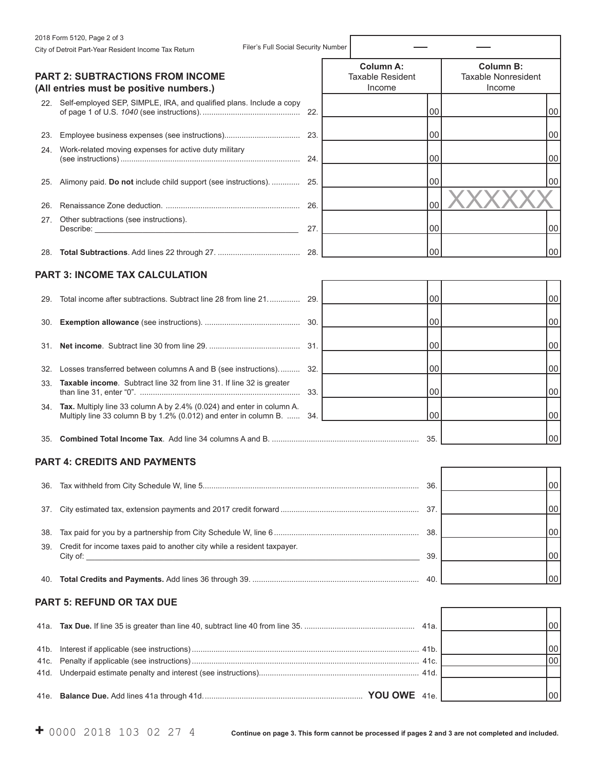|      | 2018 Form 5120, Page 2 of 3                                                                                                                   |     |                                             |     |                                                |    |
|------|-----------------------------------------------------------------------------------------------------------------------------------------------|-----|---------------------------------------------|-----|------------------------------------------------|----|
|      | Filer's Full Social Security Number<br>City of Detroit Part-Year Resident Income Tax Return                                                   |     |                                             |     |                                                |    |
|      | <b>PART 2: SUBTRACTIONS FROM INCOME</b>                                                                                                       |     | <b>Column A:</b><br><b>Taxable Resident</b> |     | <b>Column B:</b><br><b>Taxable Nonresident</b> |    |
|      | (All entries must be positive numbers.)                                                                                                       |     | Income                                      |     | Income                                         |    |
|      | 22. Self-employed SEP, SIMPLE, IRA, and qualified plans. Include a copy                                                                       |     |                                             | 00  |                                                | 00 |
|      |                                                                                                                                               |     |                                             | 00  |                                                | 00 |
|      | 24. Work-related moving expenses for active duty military                                                                                     |     |                                             | 00  |                                                | 00 |
|      | 25. Alimony paid. Do not include child support (see instructions).                                                                            | 25. |                                             | 00  |                                                | 00 |
| 26.  |                                                                                                                                               | 26. |                                             | 00  |                                                |    |
| 27.  | Other subtractions (see instructions).                                                                                                        | 27. |                                             | 00  |                                                | 00 |
|      |                                                                                                                                               | 28. |                                             | 00  |                                                | 00 |
|      | <b>PART 3: INCOME TAX CALCULATION</b>                                                                                                         |     |                                             |     |                                                |    |
|      | 29. Total income after subtractions. Subtract line 28 from line 21                                                                            | 29. |                                             | 00  |                                                | 00 |
|      |                                                                                                                                               | 30. |                                             | 00  |                                                | 00 |
|      |                                                                                                                                               | 31. |                                             | 00  |                                                | 00 |
|      | 32. Losses transferred between columns A and B (see instructions)                                                                             | 32. |                                             | 00  |                                                | 00 |
|      | 33. Taxable income. Subtract line 32 from line 31. If line 32 is greater                                                                      | 33. |                                             | 00  |                                                | 00 |
|      | 34. Tax. Multiply line 33 column A by 2.4% (0.024) and enter in column A.<br>Multiply line 33 column B by 1.2% (0.012) and enter in column B. | 34. |                                             | 00  |                                                | 00 |
| 35.  |                                                                                                                                               |     |                                             | 35. |                                                | 00 |
|      | <b>PART 4: CREDITS AND PAYMENTS</b>                                                                                                           |     |                                             |     |                                                |    |
| 36.  |                                                                                                                                               |     |                                             | 36. |                                                | 00 |
| 37.  |                                                                                                                                               |     |                                             | 37. |                                                | 00 |
| 38.  |                                                                                                                                               |     |                                             |     |                                                | 00 |
| 39.  | Credit for income taxes paid to another city while a resident taxpayer.<br>City of:                                                           |     |                                             | 39. |                                                | 00 |
| 40.  |                                                                                                                                               |     |                                             | 00  |                                                |    |
|      | <b>PART 5: REFUND OR TAX DUE</b>                                                                                                              |     |                                             |     |                                                |    |
| 41a. |                                                                                                                                               |     |                                             |     |                                                | 00 |
| 41b. |                                                                                                                                               |     |                                             |     |                                                | 00 |
| 41c. |                                                                                                                                               |     |                                             |     |                                                | 00 |
| 41d. |                                                                                                                                               |     |                                             |     |                                                |    |
|      |                                                                                                                                               |     |                                             |     |                                                | 00 |